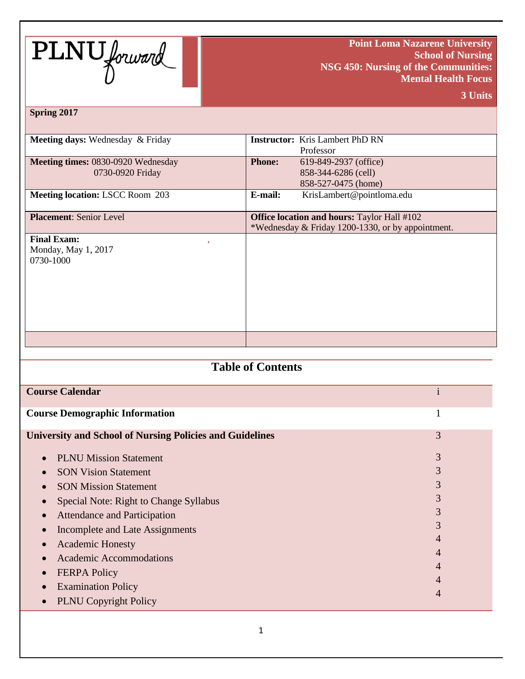

**Point Loma Nazarene University School of Nursing NSG 450: Nursing of the Communities: Mental Health Focus**

**3 Units**

#### **Spring 2017**

| <b>Meeting days:</b> Wednesday & Friday   | <b>Instructor:</b> Kris Lambert PhD RN             |
|-------------------------------------------|----------------------------------------------------|
|                                           | Professor                                          |
| <b>Meeting times: 0830-0920 Wednesday</b> | <b>Phone:</b><br>619-849-2937 (office)             |
| 0730-0920 Friday                          | 858-344-6286 (cell)                                |
|                                           | 858-527-0475 (home)                                |
| <b>Meeting location: LSCC Room 203</b>    | E-mail:<br>KrisLambert@pointloma.edu               |
|                                           |                                                    |
| <b>Placement:</b> Senior Level            | <b>Office location and hours: Taylor Hall #102</b> |
|                                           | *Wednesday & Friday 1200-1330, or by appointment.  |
| <b>Final Exam:</b><br>,                   |                                                    |
| Monday, May 1, 2017                       |                                                    |
| 0730-1000                                 |                                                    |
|                                           |                                                    |
|                                           |                                                    |
|                                           |                                                    |
|                                           |                                                    |
|                                           |                                                    |
|                                           |                                                    |
|                                           |                                                    |
|                                           |                                                    |

# **Table of Contents**

| <b>Course Calendar</b>                                          |   |
|-----------------------------------------------------------------|---|
| <b>Course Demographic Information</b>                           |   |
| <b>University and School of Nursing Policies and Guidelines</b> | 3 |
| <b>PLNU Mission Statement</b><br>$\bullet$                      | 3 |
| <b>SON Vision Statement</b>                                     | 3 |
| <b>SON Mission Statement</b>                                    | 3 |
| Special Note: Right to Change Syllabus                          | 3 |
| <b>Attendance and Participation</b>                             | 3 |
| Incomplete and Late Assignments                                 | 3 |
| <b>Academic Honesty</b>                                         | 4 |
| <b>Academic Accommodations</b>                                  | 4 |
| <b>FERPA Policy</b>                                             | 4 |
| <b>Examination Policy</b>                                       | 4 |
| <b>PLNU</b> Copyright Policy                                    | 4 |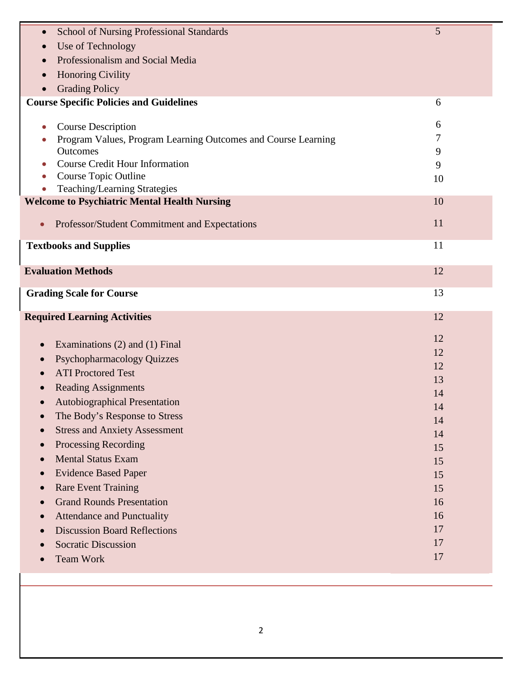| <b>School of Nursing Professional Standards</b><br>$\bullet$                               | 5        |
|--------------------------------------------------------------------------------------------|----------|
| Use of Technology                                                                          |          |
| Professionalism and Social Media                                                           |          |
| <b>Honoring Civility</b>                                                                   |          |
| <b>Grading Policy</b>                                                                      |          |
| <b>Course Specific Policies and Guidelines</b>                                             | 6        |
|                                                                                            | 6        |
| <b>Course Description</b><br>Program Values, Program Learning Outcomes and Course Learning | 7        |
| Outcomes                                                                                   | 9        |
| <b>Course Credit Hour Information</b>                                                      | 9        |
| Course Topic Outline                                                                       | 10       |
| Teaching/Learning Strategies                                                               |          |
| <b>Welcome to Psychiatric Mental Health Nursing</b>                                        | 10       |
| Professor/Student Commitment and Expectations<br>$\bullet$                                 | 11       |
|                                                                                            |          |
| <b>Textbooks and Supplies</b>                                                              | 11       |
| <b>Evaluation Methods</b>                                                                  |          |
|                                                                                            | 12       |
| <b>Grading Scale for Course</b>                                                            | 13       |
|                                                                                            |          |
|                                                                                            |          |
| <b>Required Learning Activities</b>                                                        | 12       |
|                                                                                            | 12       |
| Examinations (2) and (1) Final<br>$\bullet$                                                | 12       |
| <b>Psychopharmacology Quizzes</b><br>$\bullet$                                             | 12       |
| <b>ATI Proctored Test</b>                                                                  | 13       |
| <b>Reading Assignments</b>                                                                 | 14       |
| <b>Autobiographical Presentation</b><br>$\bullet$                                          | 14       |
| The Body's Response to Stress<br>$\bullet$                                                 | 14       |
| <b>Stress and Anxiety Assessment</b>                                                       | 14       |
| Processing Recording<br>$\bullet$                                                          | 15       |
| <b>Mental Status Exam</b><br>$\bullet$                                                     | 15       |
| <b>Evidence Based Paper</b><br>$\bullet$                                                   | 15       |
| <b>Rare Event Training</b><br>$\bullet$                                                    | 15       |
| <b>Grand Rounds Presentation</b><br>$\bullet$                                              | 16       |
| <b>Attendance and Punctuality</b><br>$\bullet$                                             | 16       |
| <b>Discussion Board Reflections</b><br>$\bullet$                                           | 17       |
| <b>Socratic Discussion</b><br><b>Team Work</b>                                             | 17<br>17 |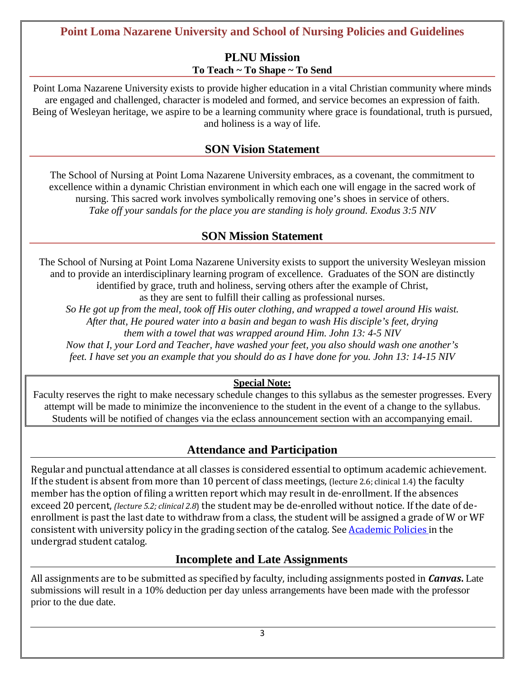# **Point Loma Nazarene University and School of Nursing Policies and Guidelines**

## **PLNU Mission To Teach ~ To Shape ~ To Send**

Point Loma Nazarene University exists to provide higher education in a vital Christian community where minds are engaged and challenged, character is modeled and formed, and service becomes an expression of faith. Being of Wesleyan heritage, we aspire to be a learning community where grace is foundational, truth is pursued, and holiness is a way of life.

# **SON Vision Statement**

The School of Nursing at Point Loma Nazarene University embraces, as a covenant, the commitment to excellence within a dynamic Christian environment in which each one will engage in the sacred work of nursing. This sacred work involves symbolically removing one's shoes in service of others. *Take off your sandals for the place you are standing is holy ground. Exodus 3:5 NIV*

# **SON Mission Statement**

The School of Nursing at Point Loma Nazarene University exists to support the university Wesleyan mission and to provide an interdisciplinary learning program of excellence. Graduates of the SON are distinctly identified by grace, truth and holiness, serving others after the example of Christ,

as they are sent to fulfill their calling as professional nurses.

*So He got up from the meal, took off His outer clothing, and wrapped a towel around His waist. After that, He poured water into a basin and began to wash His disciple's feet, drying*

*them with a towel that was wrapped around Him. John 13: 4-5 NIV*

*Now that I, your Lord and Teacher, have washed your feet, you also should wash one another's feet. I have set you an example that you should do as I have done for you. John 13: 14-15 NIV*

## **Special Note:**

Faculty reserves the right to make necessary schedule changes to this syllabus as the semester progresses. Every attempt will be made to minimize the inconvenience to the student in the event of a change to the syllabus. Students will be notified of changes via the eclass announcement section with an accompanying email.

# **Attendance and Participation**

Regular and punctual attendance at all classes is considered essential to optimum academic achievement. If the student is absent from more than 10 percent of class meetings, (lecture 2.6; clinical 1.4) the faculty member has the option of filing a written report which may result in de-enrollment. If the absences exceed 20 percent, *(lecture 5.2; clinical 2.8*) the student may be de-enrolled without notice. If the date of deenrollment is past the last date to withdraw from a class, the student will be assigned a grade of W or WF consistent with university policy in the grading section of the catalog. See [Academic](http://www.pointloma.edu/experience/academics/catalogs/undergraduate-catalog/point-loma-education/academic-policies) Policies in the undergrad student catalog.

## **Incomplete and Late Assignments**

All assignments are to be submitted as specified by faculty, including assignments posted in *Canvas***.** Late submissions will result in a 10% deduction per day unless arrangements have been made with the professor prior to the due date.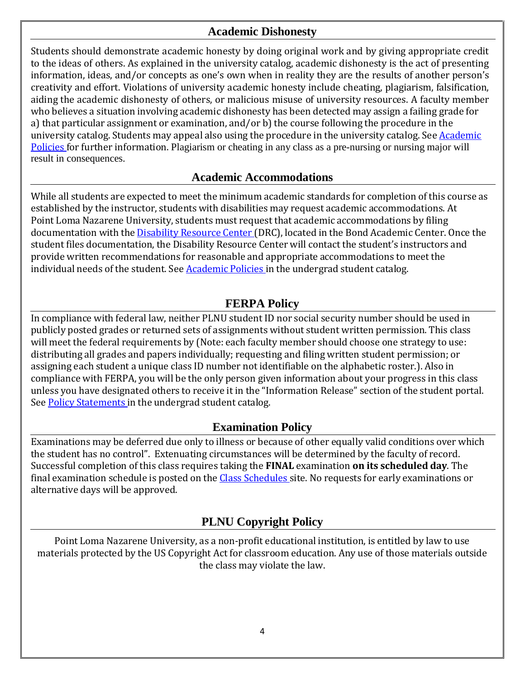# **Academic Dishonesty**

Students should demonstrate academic honesty by doing original work and by giving appropriate credit to the ideas of others. As explained in the university catalog, academic dishonesty is the act of presenting information, ideas, and/or concepts as one's own when in reality they are the results of another person's creativity and effort. Violations of university academic honesty include cheating, plagiarism, falsification, aiding the academic dishonesty of others, or malicious misuse of university resources. A faculty member who believes a situation involving academic dishonesty has been detected may assign a failing grade for a) that particular assignment or examination, and/or b) the course following the procedure in the university catalog. Students may appeal also using the procedure in the university catalog. See **[Academic](http://www.pointloma.edu/experience/academics/catalogs/undergraduate-catalog/point-loma-education/academic-policies)** [Policies](http://www.pointloma.edu/experience/academics/catalogs/undergraduate-catalog/point-loma-education/academic-policies) for further information. Plagiarism or cheating in any class as a pre-nursing or nursing major will result in consequences.

## **Academic Accommodations**

While all students are expected to meet the minimum academic standards for completion of this course as established by the instructor, students with disabilities may request academic accommodations. At Point Loma Nazarene University, students must request that academic accommodations by filing documentation with the [Disability](http://www.pointloma.edu/experience/offices/administrative-offices/academic-advising-office/disability-resource-center) Resource Center (DRC), located in the Bond Academic Center. Once the student files documentation, the Disability Resource Center will contact the student's instructors and provide written recommendations for reasonable and appropriate accommodations to meet the individual needs of the student. See [Academic](http://www.pointloma.edu/experience/academics/catalogs/undergraduate-catalog/point-loma-education/academic-policies) Policies in the undergrad student catalog.

# **FERPA Policy**

In compliance with federal law, neither PLNU student ID nor social security number should be used in publicly posted grades or returned sets of assignments without student written permission. This class will meet the federal requirements by (Note: each faculty member should choose one strategy to use: distributing all grades and papers individually; requesting and filing written student permission; or assigning each student a unique class ID number not identifiable on the alphabetic roster.). Also in compliance with FERPA, you will be the only person given information about your progress in this class unless you have designated others to receive it in the "Information Release" section of the student portal. See Policy [Statements](http://www.pointloma.edu/experience/academics/catalogs/undergraduate-catalog/policy-statements) in the undergrad student catalog.

## **Examination Policy**

Examinations may be deferred due only to illness or because of other equally valid conditions over which the student has no control". Extenuating circumstances will be determined by the faculty of record. Successful completion of this class requires taking the **FINAL** examination **on its scheduled day**. The final examination schedule is posted on the Class [Schedules](http://www.pointloma.edu/experience/academics/class-schedules) site. No requests for early examinations or alternative days will be approved.

# **PLNU Copyright Policy**

Point Loma Nazarene University, as a non-profit educational institution, is entitled by law to use materials protected by the US Copyright Act for classroom education. Any use of those materials outside the class may violate the law.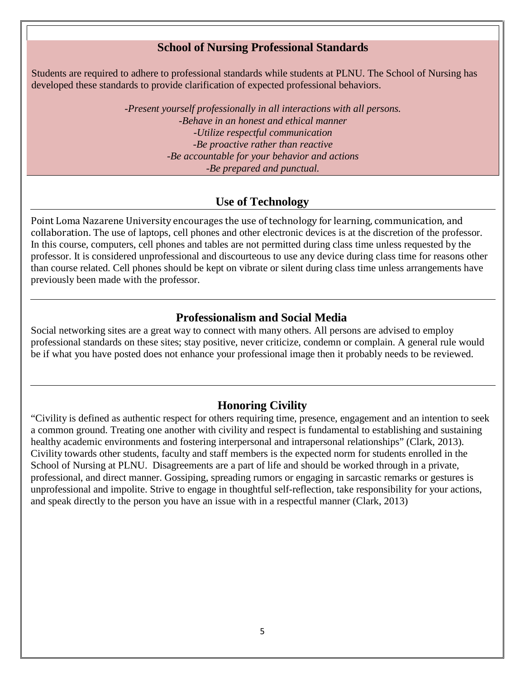### **School of Nursing Professional Standards**

Students are required to adhere to professional standards while students at PLNU. The School of Nursing has developed these standards to provide clarification of expected professional behaviors.

> -*Present yourself professionally in all interactions with all persons. -Behave in an honest and ethical manner -Utilize respectful communication -Be proactive rather than reactive -Be accountable for your behavior and actions -Be prepared and punctual.*

## **Use of Technology**

Point Loma Nazarene University encourages the use of technology for learning, communication, and collaboration. The use of laptops, cell phones and other electronic devices is at the discretion of the professor. In this course, computers, cell phones and tables are not permitted during class time unless requested by the professor. It is considered unprofessional and discourteous to use any device during class time for reasons other than course related. Cell phones should be kept on vibrate or silent during class time unless arrangements have previously been made with the professor.

## **Professionalism and Social Media**

Social networking sites are a great way to connect with many others. All persons are advised to employ professional standards on these sites; stay positive, never criticize, condemn or complain. A general rule would be if what you have posted does not enhance your professional image then it probably needs to be reviewed.

#### **Honoring Civility**

"Civility is defined as authentic respect for others requiring time, presence, engagement and an intention to seek a common ground. Treating one another with civility and respect is fundamental to establishing and sustaining healthy academic environments and fostering interpersonal and intrapersonal relationships" (Clark, 2013). Civility towards other students, faculty and staff members is the expected norm for students enrolled in the School of Nursing at PLNU. Disagreements are a part of life and should be worked through in a private, professional, and direct manner. Gossiping, spreading rumors or engaging in sarcastic remarks or gestures is unprofessional and impolite. Strive to engage in thoughtful self-reflection, take responsibility for your actions, and speak directly to the person you have an issue with in a respectful manner (Clark, 2013)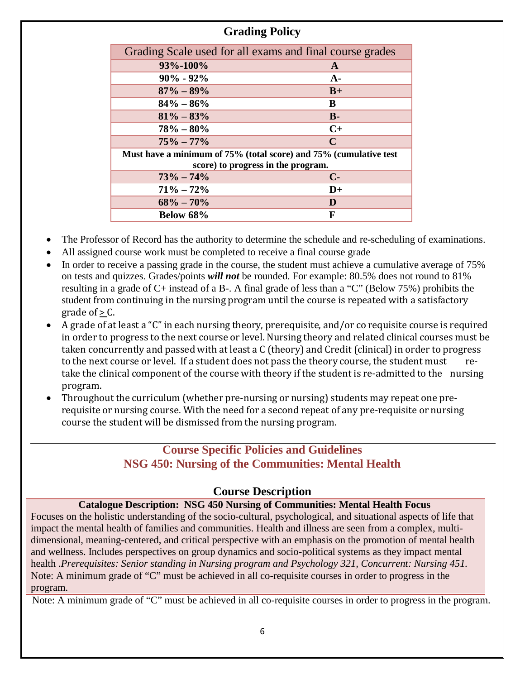# **Grading Policy**

| Grading Scale used for all exams and final course grades          |                                    |  |  |  |  |
|-------------------------------------------------------------------|------------------------------------|--|--|--|--|
| 93%-100%                                                          | A                                  |  |  |  |  |
| $90\% - 92\%$                                                     | $A-$                               |  |  |  |  |
| $87\% - 89\%$                                                     | $B+$                               |  |  |  |  |
| $84\% - 86\%$                                                     | B                                  |  |  |  |  |
| $81\% - 83\%$                                                     | $B -$                              |  |  |  |  |
| $78\% - 80\%$                                                     | $C+$                               |  |  |  |  |
| $75\% - 77\%$                                                     | $\mathbf C$                        |  |  |  |  |
| Must have a minimum of 75% (total score) and 75% (cumulative test |                                    |  |  |  |  |
|                                                                   | score) to progress in the program. |  |  |  |  |
| $73\% - 74\%$                                                     | $C-$                               |  |  |  |  |
| $71\% - 72\%$                                                     | $D+$                               |  |  |  |  |
| $68\% - 70\%$                                                     | D                                  |  |  |  |  |
| Below 68%                                                         | F                                  |  |  |  |  |

• The Professor of Record has the authority to determine the schedule and re-scheduling of examinations.

- All assigned course work must be completed to receive a final course grade
- In order to receive a passing grade in the course, the student must achieve a cumulative average of 75% on tests and quizzes. Grades/points *will not* be rounded. For example: 80.5% does not round to 81% resulting in a grade of C+ instead of a B-. A final grade of less than a "C" (Below 75%) prohibits the student from continuing in the nursing program until the course is repeated with a satisfactory grade of  $> C$ .
- A grade of at least a "C" in each nursing theory, prerequisite, and/or co requisite course is required in order to progress to the next course or level. Nursing theory and related clinical courses must be taken concurrently and passed with at least a C (theory) and Credit (clinical) in order to progress<br>to the next course or level. If a student does not pass the theory course, the student must reto the next course or level. If a student does not pass the theory course, the student must take the clinical component of the course with theory if the student is re-admitted to the nursing program.
- Throughout the curriculum (whether pre-nursing or nursing) students may repeat one prerequisite or nursing course. With the need for a second repeat of any pre-requisite or nursing course the student will be dismissed from the nursing program.

# **Course Specific Policies and Guidelines NSG 450: Nursing of the Communities: Mental Health**

## **Course Description**

**Catalogue Description: NSG 450 Nursing of Communities: Mental Health Focus** Focuses on the holistic understanding of the socio-cultural, psychological, and situational aspects of life that impact the mental health of families and communities. Health and illness are seen from a complex, multidimensional, meaning-centered, and critical perspective with an emphasis on the promotion of mental health and wellness. Includes perspectives on group dynamics and socio-political systems as they impact mental health .*Prerequisites: Senior standing in Nursing program and Psychology 321, Concurrent: Nursing 451.* Note: A minimum grade of "C" must be achieved in all co-requisite courses in order to progress in the program.

Note: A minimum grade of "C" must be achieved in all co-requisite courses in order to progress in the program.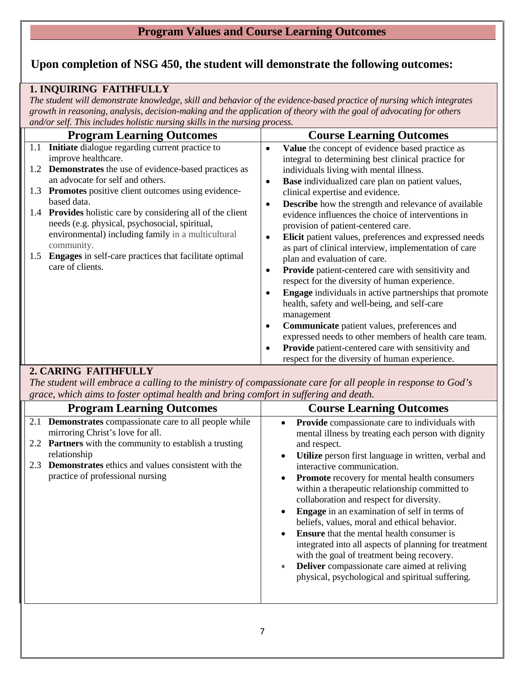# **Program Values and Course Learning Outcomes**

# **Upon completion of NSG 450, the student will demonstrate the following outcomes:**

## **1. INQUIRING FAITHFULLY**

The student will demonstrate knowledge, skill and behavior of the evidence-based practice of nursing which integrates *growth in reasoning, analysis, decision-making and the application of theory with the goal of advocating for others and/or self. This includes holistic nursing skills in the nursing process.*

|     | <b>Program Learning Outcomes</b>                                                                              |           | <b>Course Learning Outcomes</b>                                                                                                                          |
|-----|---------------------------------------------------------------------------------------------------------------|-----------|----------------------------------------------------------------------------------------------------------------------------------------------------------|
|     | 1.1 <b>Initiate</b> dialogue regarding current practice to                                                    | ٠         | Value the concept of evidence based practice as                                                                                                          |
|     | improve healthcare.                                                                                           |           | integral to determining best clinical practice for                                                                                                       |
| 1.2 | <b>Demonstrates</b> the use of evidence-based practices as<br>an advocate for self and others.                |           | individuals living with mental illness.                                                                                                                  |
|     |                                                                                                               | $\bullet$ | <b>Base</b> individualized care plan on patient values,                                                                                                  |
| 1.3 | Promotes positive client outcomes using evidence-<br>based data.                                              |           | clinical expertise and evidence.                                                                                                                         |
|     | 1.4 Provides holistic care by considering all of the client<br>needs (e.g. physical, psychosocial, spiritual, | $\bullet$ | <b>Describe</b> how the strength and relevance of available<br>evidence influences the choice of interventions in<br>provision of patient-centered care. |
|     | environmental) including family in a multicultural<br>community.                                              |           | Elicit patient values, preferences and expressed needs<br>as part of clinical interview, implementation of care                                          |
| 1.5 | <b>Engages</b> in self-care practices that facilitate optimal                                                 |           | plan and evaluation of care.                                                                                                                             |
|     | care of clients.                                                                                              | $\bullet$ | <b>Provide</b> patient-centered care with sensitivity and<br>respect for the diversity of human experience.                                              |
|     |                                                                                                               |           | <b>Engage</b> individuals in active partnerships that promote<br>health, safety and well-being, and self-care                                            |
|     |                                                                                                               |           | management                                                                                                                                               |
|     |                                                                                                               | $\bullet$ | <b>Communicate</b> patient values, preferences and<br>expressed needs to other members of health care team.                                              |
|     |                                                                                                               | $\bullet$ | <b>Provide</b> patient-centered care with sensitivity and<br>respect for the diversity of human experience.                                              |

## **2. CARING FAITHFULLY**

*The student will embrace a calling to the ministry of compassionate care for all people in response to God's grace, which aims to foster optimal health and bring comfort in suffering and death.*

| <b>Program Learning Outcomes</b>                                                                   | <b>Course Learning Outcomes</b>                                                                                                                                                                                                                                                                                                                                                                                                                                                                                                                                       |
|----------------------------------------------------------------------------------------------------|-----------------------------------------------------------------------------------------------------------------------------------------------------------------------------------------------------------------------------------------------------------------------------------------------------------------------------------------------------------------------------------------------------------------------------------------------------------------------------------------------------------------------------------------------------------------------|
| 2.1 <b>Demonstrates</b> compassionate care to all people while<br>mirroring Christ's love for all. | <b>Provide</b> compassionate care to individuals with<br>$\bullet$<br>mental illness by treating each person with dignity                                                                                                                                                                                                                                                                                                                                                                                                                                             |
| 2.2 Partners with the community to establish a trusting                                            | and respect.                                                                                                                                                                                                                                                                                                                                                                                                                                                                                                                                                          |
| relationship<br><b>Demonstrates</b> ethics and values consistent with the<br>2.3                   | Utilize person first language in written, verbal and<br>$\bullet$<br>interactive communication.                                                                                                                                                                                                                                                                                                                                                                                                                                                                       |
| practice of professional nursing                                                                   | <b>Promote</b> recovery for mental health consumers<br>$\bullet$<br>within a therapeutic relationship committed to<br>collaboration and respect for diversity.<br><b>Engage</b> in an examination of self in terms of<br>beliefs, values, moral and ethical behavior.<br><b>Ensure</b> that the mental health consumer is<br>$\bullet$<br>integrated into all aspects of planning for treatment<br>with the goal of treatment being recovery.<br><b>Deliver</b> compassionate care aimed at reliving<br>$\bullet$<br>physical, psychological and spiritual suffering. |
|                                                                                                    |                                                                                                                                                                                                                                                                                                                                                                                                                                                                                                                                                                       |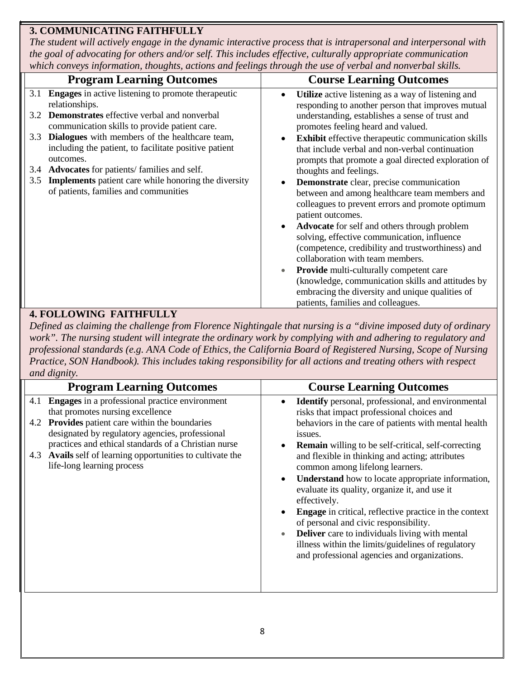# **3. COMMUNICATING FAITHFULLY**

*The student will actively engage in the dynamic interactive process that is intrapersonal and interpersonal with the goal of advocating for others and/or self. This includes effective, culturally appropriate communication which conveys information, thoughts, actions and feelings through the use of verbal and nonverbal skills.*

|                       | mich conveys information, moaching, actions and jectings miloagu me ase of verball and nonverball sixtes. |           |                                                                                                                                                  |
|-----------------------|-----------------------------------------------------------------------------------------------------------|-----------|--------------------------------------------------------------------------------------------------------------------------------------------------|
|                       | <b>Program Learning Outcomes</b>                                                                          |           | <b>Course Learning Outcomes</b>                                                                                                                  |
| 3.1<br>relationships. | <b>Engages</b> in active listening to promote therapeutic                                                 | ٠         | <b>Utilize</b> active listening as a way of listening and<br>responding to another person that improves mutual                                   |
| 3.2                   | <b>Demonstrates</b> effective verbal and nonverbal<br>communication skills to provide patient care.       |           | understanding, establishes a sense of trust and<br>promotes feeling heard and valued.                                                            |
| 3.3                   | Dialogues with members of the healthcare team,<br>including the patient, to facilitate positive patient   |           | <b>Exhibit</b> effective therapeutic communication skills<br>that include verbal and non-verbal continuation                                     |
| outcomes.             | 3.4 <b>Advocates</b> for patients/ families and self.                                                     |           | prompts that promote a goal directed exploration of<br>thoughts and feelings.                                                                    |
| 3.5                   | <b>Implements</b> patient care while honoring the diversity                                               | $\bullet$ | Demonstrate clear, precise communication                                                                                                         |
|                       | of patients, families and communities                                                                     |           | between and among healthcare team members and                                                                                                    |
|                       |                                                                                                           |           | colleagues to prevent errors and promote optimum<br>patient outcomes.                                                                            |
|                       |                                                                                                           | $\bullet$ | Advocate for self and others through problem<br>solving, effective communication, influence<br>(competence, credibility and trustworthiness) and |
|                       |                                                                                                           |           | collaboration with team members.                                                                                                                 |
|                       |                                                                                                           | $\bullet$ | <b>Provide</b> multi-culturally competent care                                                                                                   |
|                       |                                                                                                           |           | (knowledge, communication skills and attitudes by                                                                                                |
|                       |                                                                                                           |           | embracing the diversity and unique qualities of                                                                                                  |
|                       |                                                                                                           |           | patients, families and colleagues.                                                                                                               |

## **4. FOLLOWING FAITHFULLY**

*Defined as claiming the challenge from Florence Nightingale that nursing is a "divine imposed duty of ordinary work". The nursing student will integrate the ordinary work by complying with and adhering to regulatory and professional standards (e.g. ANA Code of Ethics, the California Board of Registered Nursing, Scope of Nursing Practice, SON Handbook). This includes taking responsibility for all actions and treating others with respect and dignity.*

|     | $\alpha$ . $\alpha$ $\alpha$ $\beta$ . $\alpha$ $\beta$ .                                                                                    |                                                                                                                                                             |
|-----|----------------------------------------------------------------------------------------------------------------------------------------------|-------------------------------------------------------------------------------------------------------------------------------------------------------------|
|     | <b>Program Learning Outcomes</b>                                                                                                             | <b>Course Learning Outcomes</b>                                                                                                                             |
| 4.1 | <b>Engages</b> in a professional practice environment<br>that promotes nursing excellence                                                    | <b>Identify</b> personal, professional, and environmental<br>risks that impact professional choices and                                                     |
|     | 4.2 Provides patient care within the boundaries<br>designated by regulatory agencies, professional                                           | behaviors in the care of patients with mental health<br>issues.                                                                                             |
| 4.3 | practices and ethical standards of a Christian nurse<br>Avails self of learning opportunities to cultivate the<br>life-long learning process | <b>Remain</b> willing to be self-critical, self-correcting<br>and flexible in thinking and acting; attributes<br>common among lifelong learners.            |
|     |                                                                                                                                              | <b>Understand</b> how to locate appropriate information,<br>evaluate its quality, organize it, and use it<br>effectively.                                   |
|     |                                                                                                                                              | <b>Engage</b> in critical, reflective practice in the context<br>of personal and civic responsibility.                                                      |
|     |                                                                                                                                              | <b>Deliver</b> care to individuals living with mental<br>illness within the limits/guidelines of regulatory<br>and professional agencies and organizations. |
|     |                                                                                                                                              |                                                                                                                                                             |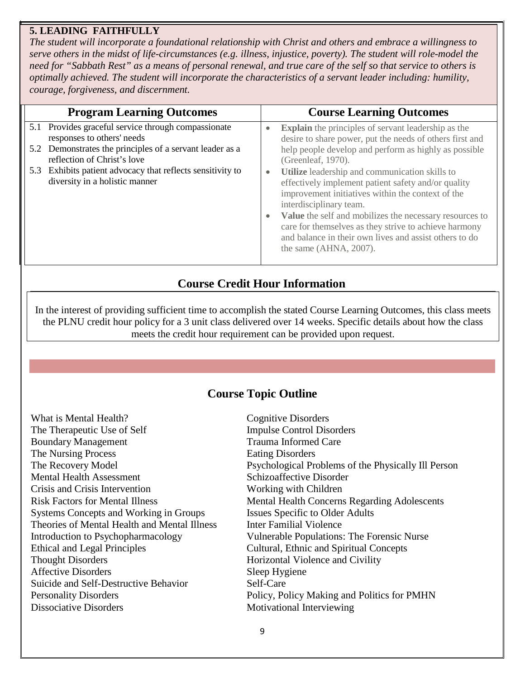### **5. LEADING FAITHFULLY**

*The student will incorporate a foundational relationship with Christ and others and embrace a willingness to serve others in the midst of life-circumstances (e.g. illness, injustice, poverty). The student will role-model the need for "Sabbath Rest" as a means of personal renewal, and true care of the self so that service to others is optimally achieved. The student will incorporate the characteristics of a servant leader including: humility, courage, forgiveness, and discernment.*

| <b>Program Learning Outcomes</b>                                                                                                                                                                                                                                             |                        | <b>Course Learning Outcomes</b>                                                                                                                                                                                                                                                                                                                                                                                                                                                                                                                                                                        |
|------------------------------------------------------------------------------------------------------------------------------------------------------------------------------------------------------------------------------------------------------------------------------|------------------------|--------------------------------------------------------------------------------------------------------------------------------------------------------------------------------------------------------------------------------------------------------------------------------------------------------------------------------------------------------------------------------------------------------------------------------------------------------------------------------------------------------------------------------------------------------------------------------------------------------|
| 5.1 Provides graceful service through compassionate<br>responses to others' needs<br>5.2 Demonstrates the principles of a servant leader as a<br>reflection of Christ's love<br>5.3 Exhibits patient advocacy that reflects sensitivity to<br>diversity in a holistic manner | $\bullet$<br>$\bullet$ | <b>Explain</b> the principles of servant leadership as the<br>desire to share power, put the needs of others first and<br>help people develop and perform as highly as possible<br>(Greenleaf, 1970).<br>Utilize leadership and communication skills to<br>effectively implement patient safety and/or quality<br>improvement initiatives within the context of the<br>interdisciplinary team.<br>Value the self and mobilizes the necessary resources to<br>care for themselves as they strive to achieve harmony<br>and balance in their own lives and assist others to do<br>the same (AHNA, 2007). |
|                                                                                                                                                                                                                                                                              |                        |                                                                                                                                                                                                                                                                                                                                                                                                                                                                                                                                                                                                        |

# **Course Credit Hour Information**

In the interest of providing sufficient time to accomplish the stated Course Learning Outcomes, this class meets the PLNU credit hour policy for a 3 unit class delivered over 14 weeks. Specific details about how the class meets the credit hour requirement can be provided upon request.

## **Course Topic Outline**

| What is Mental Health?                       | <b>Cognitive Disorders</b>                          |
|----------------------------------------------|-----------------------------------------------------|
|                                              |                                                     |
| The Therapeutic Use of Self                  | <b>Impulse Control Disorders</b>                    |
| <b>Boundary Management</b>                   | <b>Trauma Informed Care</b>                         |
| The Nursing Process                          | <b>Eating Disorders</b>                             |
| The Recovery Model                           | Psychological Problems of the Physically III Person |
| <b>Mental Health Assessment</b>              | Schizoaffective Disorder                            |
| Crisis and Crisis Intervention               | Working with Children                               |
| <b>Risk Factors for Mental Illness</b>       | <b>Mental Health Concerns Regarding Adolescents</b> |
| Systems Concepts and Working in Groups       | <b>Issues Specific to Older Adults</b>              |
| Theories of Mental Health and Mental Illness | Inter Familial Violence                             |
| Introduction to Psychopharmacology           | Vulnerable Populations: The Forensic Nurse          |
| <b>Ethical and Legal Principles</b>          | Cultural, Ethnic and Spiritual Concepts             |
| <b>Thought Disorders</b>                     | Horizontal Violence and Civility                    |
| <b>Affective Disorders</b>                   | Sleep Hygiene                                       |
| Suicide and Self-Destructive Behavior        | Self-Care                                           |
| <b>Personality Disorders</b>                 | Policy, Policy Making and Politics for PMHN         |
| <b>Dissociative Disorders</b>                | Motivational Interviewing                           |
|                                              |                                                     |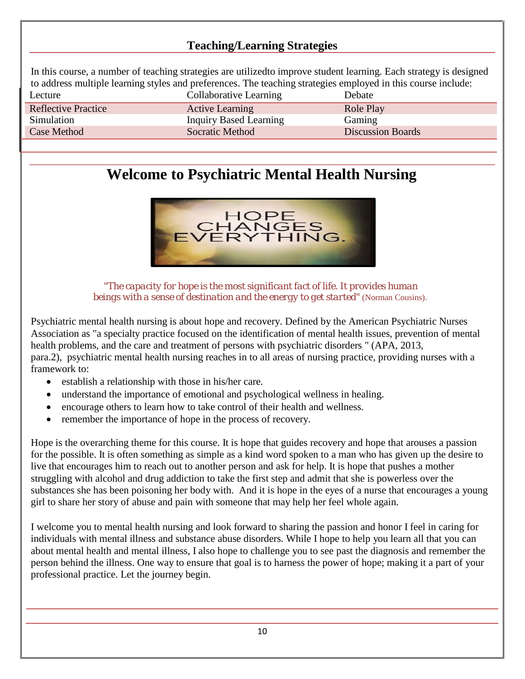# **Teaching/Learning Strategies**

In this course, a number of teaching strategies are utilizedto improve student learning. Each strategy is designed to address multiple learning styles and preferences. The teaching strategies employed in this course include: Lecture Collaborative Learning Debate

| <b>Reflective Practice</b> | <b>Active Learning</b> | Role Play                |
|----------------------------|------------------------|--------------------------|
| Simulation                 | Inquiry Based Learning | Gaming                   |
| <b>Case Method</b>         | <b>Socratic Method</b> | <b>Discussion Boards</b> |

# **Welcome to Psychiatric Mental Health Nursing**



*"The capacity for hope is the most significant fact of life. It provides human beings with a sense of destination and the energy to get started"* (Norman Cousins).

Psychiatric mental health nursing is about hope and recovery. Defined by the American Psychiatric Nurses Association as "a specialty practice focused on the identification of mental health issues, prevention of mental health problems, and the care and treatment of persons with psychiatric disorders " (APA, 2013, para.2), psychiatric mental health nursing reaches in to all areas of nursing practice, providing nurses with a framework to:

- establish a relationship with those in his/her care.
- understand the importance of emotional and psychological wellness in healing.
- encourage others to learn how to take control of their health and wellness.
- remember the importance of hope in the process of recovery.

Hope is the overarching theme for this course. It is hope that guides recovery and hope that arouses a passion for the possible. It is often something as simple as a kind word spoken to a man who has given up the desire to live that encourages him to reach out to another person and ask for help. It is hope that pushes a mother struggling with alcohol and drug addiction to take the first step and admit that she is powerless over the substances she has been poisoning her body with. And it is hope in the eyes of a nurse that encourages a young girl to share her story of abuse and pain with someone that may help her feel whole again.

I welcome you to mental health nursing and look forward to sharing the passion and honor I feel in caring for individuals with mental illness and substance abuse disorders. While I hope to help you learn all that you can about mental health and mental illness, I also hope to challenge you to see past the diagnosis and remember the person behind the illness. One way to ensure that goal is to harness the power of hope; making it a part of your professional practice. Let the journey begin.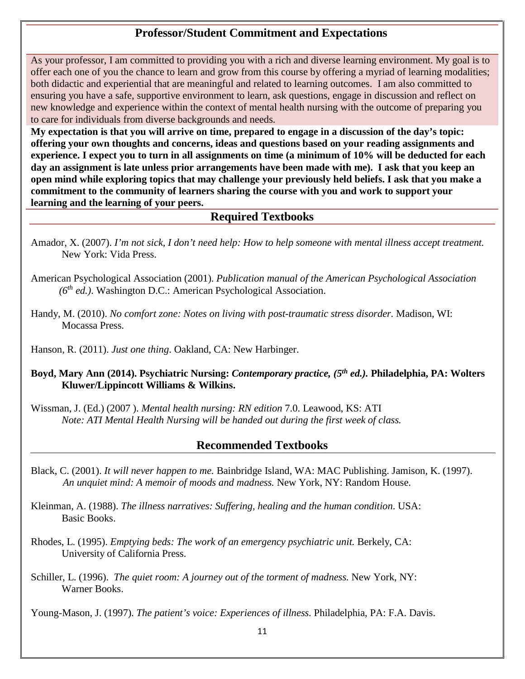# **Professor/Student Commitment and Expectations**

As your professor, I am committed to providing you with a rich and diverse learning environment. My goal is to offer each one of you the chance to learn and grow from this course by offering a myriad of learning modalities; both didactic and experiential that are meaningful and related to learning outcomes. I am also committed to ensuring you have a safe, supportive environment to learn, ask questions, engage in discussion and reflect on new knowledge and experience within the context of mental health nursing with the outcome of preparing you to care for individuals from diverse backgrounds and needs.

**My expectation is that you will arrive on time, prepared to engage in a discussion of the day's topic: offering your own thoughts and concerns, ideas and questions based on your reading assignments and experience. I expect you to turn in all assignments on time (a minimum of 10% will be deducted for each day an assignment is late unless prior arrangements have been made with me). I ask that you keep an open mind while exploring topics that may challenge your previously held beliefs. I ask that you make a commitment to the community of learners sharing the course with you and work to support your learning and the learning of your peers.**

## **Required Textbooks**

- Amador, X. (2007). *I'm not sick, I don't need help: How to help someone with mental illness accept treatment.* New York: Vida Press.
- American Psychological Association (2001). *Publication manual of the American Psychological Association (6th ed.)*. Washington D.C.: American Psychological Association.
- Handy, M. (2010). *No comfort zone: Notes on living with post-traumatic stress disorder.* Madison, WI: Mocassa Press.

Hanson, R. (2011). *Just one thing*. Oakland, CA: New Harbinger.

#### **Boyd, Mary Ann (2014). Psychiatric Nursing:** *Contemporary practice, (5th ed.).* **Philadelphia, PA: Wolters Kluwer/Lippincott Williams & Wilkins.**

Wissman, J. (Ed.) (2007 ). *Mental health nursing: RN edition* 7.0. Leawood, KS: ATI *Note: ATI Mental Health Nursing will be handed out during the first week of class.*

## **Recommended Textbooks**

- Black, C. (2001). *It will never happen to me.* Bainbridge Island, WA: MAC Publishing. Jamison, K. (1997). *An unquiet mind: A memoir of moods and madness.* New York, NY: Random House.
- Kleinman, A. (1988). *The illness narratives: Suffering, healing and the human condition*. USA: Basic Books.
- Rhodes, L. (1995). *Emptying beds: The work of an emergency psychiatric unit.* Berkely, CA: University of California Press.
- Schiller, L. (1996). *The quiet room: A journey out of the torment of madness.* New York, NY: Warner Books.

Young-Mason, J. (1997). *The patient's voice: Experiences of illness.* Philadelphia, PA: F.A. Davis.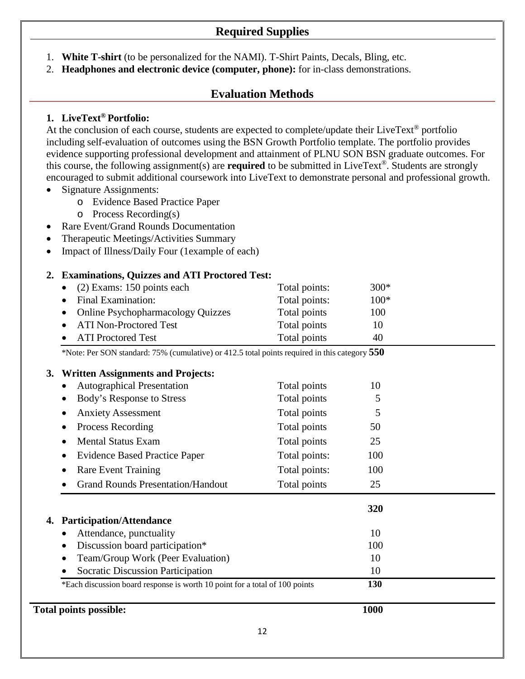# **Required Supplies**

- 1. **White T-shirt** (to be personalized for the NAMI). T-Shirt Paints, Decals, Bling, etc.
- 2. **Headphones and electronic device (computer, phone):** for in-class demonstrations.

# **Evaluation Methods**

#### **1. LiveText® Portfolio:**

At the conclusion of each course, students are expected to complete/update their LiveText<sup>®</sup> portfolio including self-evaluation of outcomes using the BSN Growth Portfolio template. The portfolio provides evidence supporting professional development and attainment of PLNU SON BSN graduate outcomes. For this course, the following assignment(s) are **required** to be submitted in LiveText®. Students are strongly encouraged to submit additional coursework into LiveText to demonstrate personal and professional growth.

- Signature Assignments:
	- o Evidence Based Practice Paper
	- o Process Recording(s)
- Rare Event/Grand Rounds Documentation
- Therapeutic Meetings/Activities Summary
- Impact of Illness/Daily Four (1example of each)

#### **2. Examinations, Quizzes and ATI Proctored Test:**

| • $(2)$ Exams: 150 points each      | Total points: | $300*$ |
|-------------------------------------|---------------|--------|
| • Final Examination:                | Total points: | $100*$ |
| • Online Psychopharmacology Quizzes | Total points  | 100    |
| • ATI Non-Proctored Test            | Total points  | 10     |
| • ATI Proctored Test                | Total points  | 40     |

\*Note: Per SON standard: 75% (cumulative) or 412.5 total points required in this category **550**

#### **3. Written Assignments and Projects:**

| <b>Total points possible:</b>                                               | 1000          |     |  |
|-----------------------------------------------------------------------------|---------------|-----|--|
| *Each discussion board response is worth 10 point for a total of 100 points |               | 130 |  |
| <b>Socratic Discussion Participation</b>                                    | 10            |     |  |
| Team/Group Work (Peer Evaluation)                                           |               | 10  |  |
| Discussion board participation*                                             |               | 100 |  |
| Attendance, punctuality                                                     |               | 10  |  |
| <b>Participation/Attendance</b>                                             |               | 320 |  |
| <b>Grand Rounds Presentation/Handout</b>                                    | Total points  | 25  |  |
| <b>Rare Event Training</b>                                                  | Total points: | 100 |  |
| <b>Evidence Based Practice Paper</b>                                        | Total points: | 100 |  |
| <b>Mental Status Exam</b>                                                   | Total points  | 25  |  |
| Process Recording                                                           | Total points  | 50  |  |
| <b>Anxiety Assessment</b>                                                   | Total points  | 5   |  |
| Body's Response to Stress                                                   | Total points  | 5   |  |
| <b>Autographical Presentation</b>                                           | Total points  | 10  |  |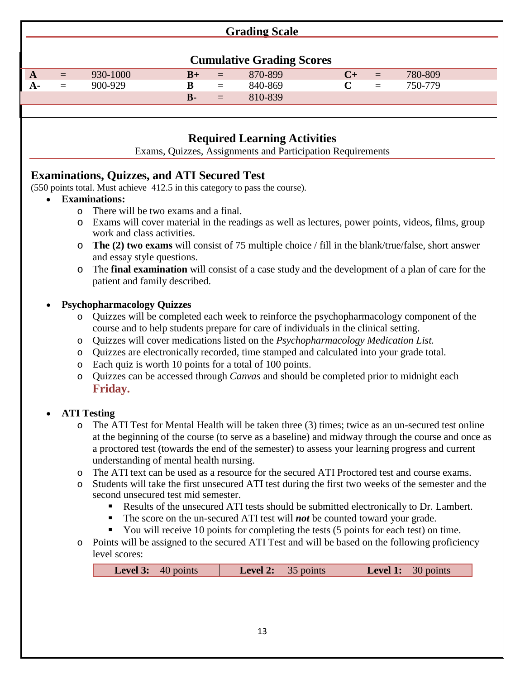| <b>Grading Scale</b>             |     |          |              |          |         |  |          |         |  |
|----------------------------------|-----|----------|--------------|----------|---------|--|----------|---------|--|
|                                  |     |          |              |          |         |  |          |         |  |
| <b>Cumulative Grading Scores</b> |     |          |              |          |         |  |          |         |  |
| A                                | $=$ | 930-1000 | $B+$         | $=$      | 870-899 |  | $=$      | 780-809 |  |
| A-                               | $=$ | 900-929  | B            | $=$      | 840-869 |  | $\equiv$ | 750-779 |  |
|                                  |     |          | $\mathbf{B}$ | $\equiv$ | 810-839 |  |          |         |  |
|                                  |     |          |              |          |         |  |          |         |  |

# **Required Learning Activities**

Exams, Quizzes, Assignments and Participation Requirements

# **Examinations, Quizzes, and ATI Secured Test**

(550 points total. Must achieve 412.5 in this category to pass the course).

- **Examinations:**
	- o There will be two exams and a final.
	- o Exams will cover material in the readings as well as lectures, power points, videos, films, group work and class activities.
	- o **The (2) two exams** will consist of 75 multiple choice / fill in the blank/true/false, short answer and essay style questions.
	- o The **final examination** will consist of a case study and the development of a plan of care for the patient and family described.

## • **Psychopharmacology Quizzes**

- o Quizzes will be completed each week to reinforce the psychopharmacology component of the course and to help students prepare for care of individuals in the clinical setting.
- o Quizzes will cover medications listed on the *Psychopharmacology Medication List.*
- o Quizzes are electronically recorded, time stamped and calculated into your grade total.
- o Each quiz is worth 10 points for a total of 100 points.
- o Quizzes can be accessed through *Canvas* and should be completed prior to midnight each **Friday.**

## • **ATI Testing**

- o The ATI Test for Mental Health will be taken three (3) times; twice as an un-secured test online at the beginning of the course (to serve as a baseline) and midway through the course and once as a proctored test (towards the end of the semester) to assess your learning progress and current understanding of mental health nursing.
- o The ATI text can be used as a resource for the secured ATI Proctored test and course exams.
- o Students will take the first unsecured ATI test during the first two weeks of the semester and the second unsecured test mid semester.
	- Results of the unsecured ATI tests should be submitted electronically to Dr. Lambert.
	- The score on the un-secured ATI test will *not* be counted toward your grade.
	- You will receive 10 points for completing the tests  $(5 \text{ points for each test})$  on time.
- o Points will be assigned to the secured ATI Test and will be based on the following proficiency level scores:

| <b>Level 3:</b> $40$ points | <b>Level 2:</b> 35 points | <b>Level 1:</b> 30 points |
|-----------------------------|---------------------------|---------------------------|
|                             |                           |                           |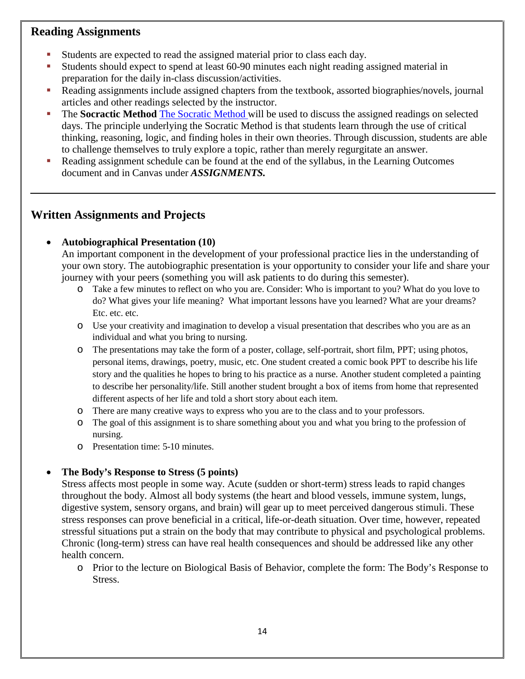# **Reading Assignments**

- Students are expected to read the assigned material prior to class each day.
- Students should expect to spend at least 60-90 minutes each night reading assigned material in preparation for the daily in-class discussion/activities.
- Reading assignments include assigned chapters from the textbook, assorted biographies/novels, journal articles and other readings selected by the instructor.
- The **Socractic Method** [The Socratic Method](file://zeus/users/agarcia4/DATA/NSG%20450%20Mental%20Health%20Nursing%202012-2013/The%20Socratic%20Method.docx) will be used to discuss the assigned readings on selected days. The principle underlying the Socratic Method is that students learn through the use of critical thinking, reasoning, logic, and finding holes in their own theories. Through discussion, students are able to challenge themselves to truly explore a topic, rather than merely regurgitate an answer.
- Reading assignment schedule can be found at the end of the syllabus, in the Learning Outcomes document and in Canvas under *ASSIGNMENTS.*

# **Written Assignments and Projects**

## • **Autobiographical Presentation (10)**

An important component in the development of your professional practice lies in the understanding of your own story. The autobiographic presentation is your opportunity to consider your life and share your journey with your peers (something you will ask patients to do during this semester).

- o Take a few minutes to reflect on who you are. Consider: Who is important to you? What do you love to do? What gives your life meaning? What important lessons have you learned? What are your dreams? Etc. etc. etc.
- o Use your creativity and imagination to develop a visual presentation that describes who you are as an individual and what you bring to nursing.
- o The presentations may take the form of a poster, collage, self-portrait, short film, PPT; using photos, personal items, drawings, poetry, music, etc. One student created a comic book PPT to describe his life story and the qualities he hopes to bring to his practice as a nurse. Another student completed a painting to describe her personality/life. Still another student brought a box of items from home that represented different aspects of her life and told a short story about each item.
- o There are many creative ways to express who you are to the class and to your professors.
- o The goal of this assignment is to share something about you and what you bring to the profession of nursing.
- o Presentation time: 5-10 minutes.

## • **The Body's Response to Stress (5 points)**

Stress affects most people in some way. Acute (sudden or short-term) stress leads to rapid changes throughout the body. Almost all body systems (the heart and blood vessels, immune system, lungs, digestive system, sensory organs, and brain) will gear up to meet perceived dangerous stimuli. These stress responses can prove beneficial in a critical, life-or-death situation. Over time, however, repeated stressful situations put a strain on the body that may contribute to physical and psychological problems. Chronic (long-term) stress can have real health consequences and should be addressed like any other health concern.

o Prior to the lecture on Biological Basis of Behavior, complete the form: The Body's Response to Stress.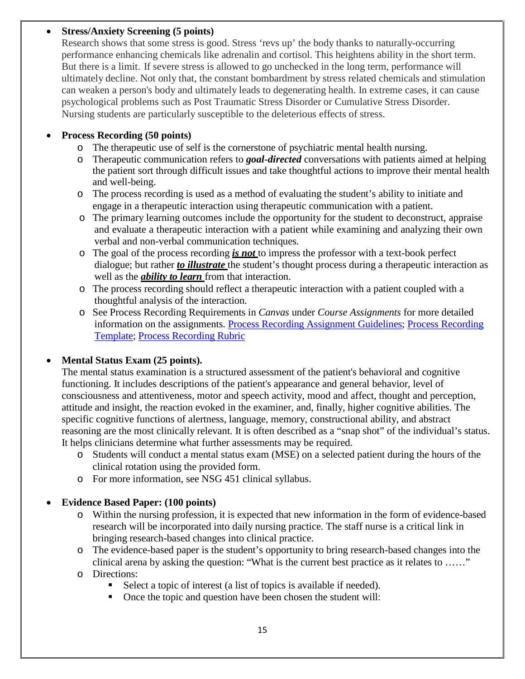#### • **Stress/Anxiety Screening (5 points)**

Research shows that some stress is good. Stress 'revs up' the body thanks to naturally-occurring performance enhancing chemicals like adrenalin and cortisol. This heightens ability in the short term. But there is a limit. If severe stress is allowed to go unchecked in the long term, performance will ultimately decline. Not only that, the constant bombardment by stress related chemicals and stimulation can weaken a person's body and ultimately leads to degenerating health. In extreme cases, it can cause psychological problems such as Post Traumatic Stress Disorder or Cumulative Stress Disorder. Nursing students are particularly susceptible to the deleterious effects of stress.

#### • **Process Recording (50 points)**

- o The therapeutic use of self is the cornerstone of psychiatric mental health nursing.
- o Therapeutic communication refers to *goal-directed* conversations with patients aimed at helping the patient sort through difficult issues and take thoughtful actions to improve their mental health and well-being.
- o The process recording is used as a method of evaluating the student's ability to initiate and engage in a therapeutic interaction using therapeutic communication with a patient.
- o The primary learning outcomes include the opportunity for the student to deconstruct, appraise and evaluate a therapeutic interaction with a patient while examining and analyzing their own verbal and non-verbal communication techniques.
- o The goal of the process recording *is not* to impress the professor with a text-book perfect dialogue; but rather *to illustrate* the student's thought process during a therapeutic interaction as well as the *ability to learn* from that interaction.
- o The process recording should reflect a therapeutic interaction with a patient coupled with a thoughtful analysis of the interaction.
- o See Process Recording Requirements in *Canvas* under *Course Assignments* for more detailed information on the assignments. Process Recording [Assignment](file://zeus/users/agarcia4/DATA/NSG%20450%20Mental%20Health%20Nursing%202012-2013/Process%20Recording%20Assignment%20Guidelines%202012-1.docx) Guidelines; Process [Recording](file://zeus/users/agarcia4/DATA/NSG%20450%20Mental%20Health%20Nursing%202012-2013/Process%20Recording%20Template.docx) [Template;](file://zeus/users/agarcia4/DATA/NSG%20450%20Mental%20Health%20Nursing%202012-2013/Process%20Recording%20Template.docx) Process [Recording](file://zeus/users/agarcia4/DATA/NSG%20450%20Mental%20Health%20Nursing%202012-2013/NSG%20450%20Process%20Recording%20Rubric.docx) Rubric

#### • **Mental Status Exam (25 points).**

The mental status examination is a structured assessment of the patient's behavioral and cognitive functioning. It includes descriptions of the patient's appearance and general behavior, level of consciousness and attentiveness, motor and speech activity, mood and affect, thought and perception, attitude and insight, the reaction evoked in the examiner, and, finally, higher cognitive abilities. The specific cognitive functions of alertness, language, memory, constructional ability, and abstract reasoning are the most clinically relevant. It is often described as a "snap shot" of the individual's status. It helps clinicians determine what further assessments may be required.

- o Students will conduct a mental status exam (MSE) on a selected patient during the hours of the clinical rotation using the provided form.
- o For more information, see NSG 451 clinical syllabus.

#### • **Evidence Based Paper: (100 points)**

- o Within the nursing profession, it is expected that new information in the form of evidence-based research will be incorporated into daily nursing practice. The staff nurse is a critical link in bringing research-based changes into clinical practice.
- o The evidence-based paper is the student's opportunity to bring research-based changes into the clinical arena by asking the question: "What is the current best practice as it relates to ……"
- o Directions:
	- Select a topic of interest (a list of topics is available if needed).
	- Once the topic and question have been chosen the student will: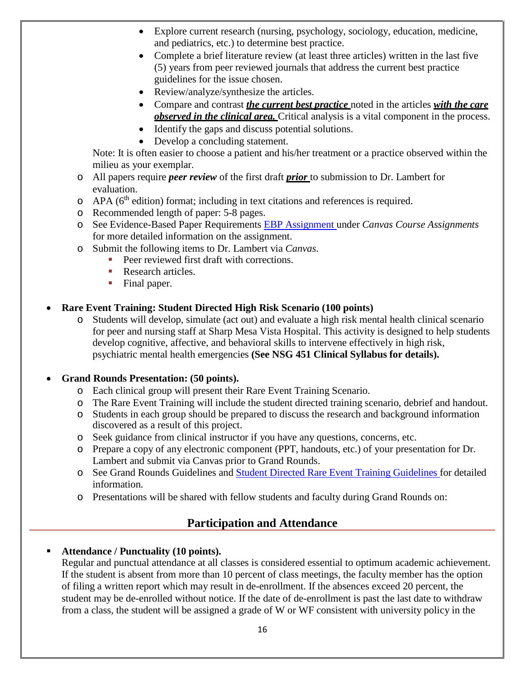- Explore current research (nursing, psychology, sociology, education, medicine, and pediatrics, etc.) to determine best practice.
- Complete a brief literature review (at least three articles) written in the last five (5) years from peer reviewed journals that address the current best practice guidelines for the issue chosen.
- Review/analyze/synthesize the articles.
- Compare and contrast *the current best practice* noted in the articles *with the care observed in the clinical area.* Critical analysis is a vital component in the process.
- Identify the gaps and discuss potential solutions.
- Develop a concluding statement.

Note: It is often easier to choose a patient and his/her treatment or a practice observed within the milieu as your exemplar.

- o All papers require *peer review* of the first draft *prior* to submission to Dr. Lambert for evaluation.
- $\circ$  APA ( $6<sup>th</sup>$  edition) format; including in text citations and references is required.
- o Recommended length of paper: 5-8 pages.
- o See Evidence-Based Paper Requirements [EBP Assignment](file://zeus/users/agarcia4/DATA/NSG%20450%20Mental%20Health%20Nursing%202012-2013/Evidence%20Based%20Practice%20Assignment.docx) under *Canvas Course Assignments* for more detailed information on the assignment.
- o Submit the following items to Dr. Lambert via *Canvas*.
	- Peer reviewed first draft with corrections.
	- Research articles
	- Final paper.

#### • **Rare Event Training: Student Directed High Risk Scenario (100 points)**

o Students will develop, simulate (act out) and evaluate a high risk mental health clinical scenario for peer and nursing staff at Sharp Mesa Vista Hospital. This activity is designed to help students develop cognitive, affective, and behavioral skills to intervene effectively in high risk, psychiatric mental health emergencies **(See NSG 451 Clinical Syllabus for details).**

#### • **Grand Rounds Presentation: (50 points).**

- o Each clinical group will present their Rare Event Training Scenario.
- o The Rare Event Training will include the student directed training scenario, debrief and handout.
- o Students in each group should be prepared to discuss the research and background information discovered as a result of this project.
- o Seek guidance from clinical instructor if you have any questions, concerns, etc.
- o Prepare a copy of any electronic component (PPT, handouts, etc.) of your presentation for Dr. Lambert and submit via Canvas prior to Grand Rounds.
- o See Grand Rounds Guidelines and Student Directed [Rare Event](file://socrates/users/klambert/DATA/Simulation/Student%20Directed%20High%20Risk%20Scenario.docx) Training Guidelines for detailed information.
- o Presentations will be shared with fellow students and faculty during Grand Rounds on:

## **Participation and Attendance**

#### **Attendance / Punctuality (10 points).**

Regular and punctual attendance at all classes is considered essential to optimum academic achievement. If the student is absent from more than 10 percent of class meetings, the faculty member has the option of filing a written report which may result in de-enrollment. If the absences exceed 20 percent, the student may be de-enrolled without notice. If the date of de-enrollment is past the last date to withdraw from a class, the student will be assigned a grade of W or WF consistent with university policy in the